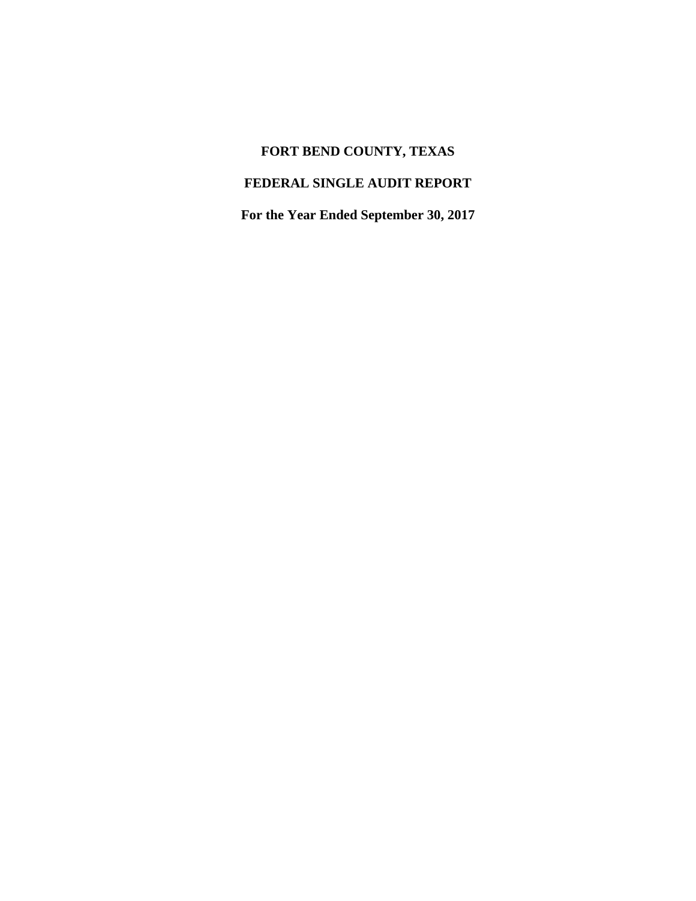# **FORT BEND COUNTY, TEXAS**

## **FEDERAL SINGLE AUDIT REPORT**

**For the Year Ended September 30, 2017**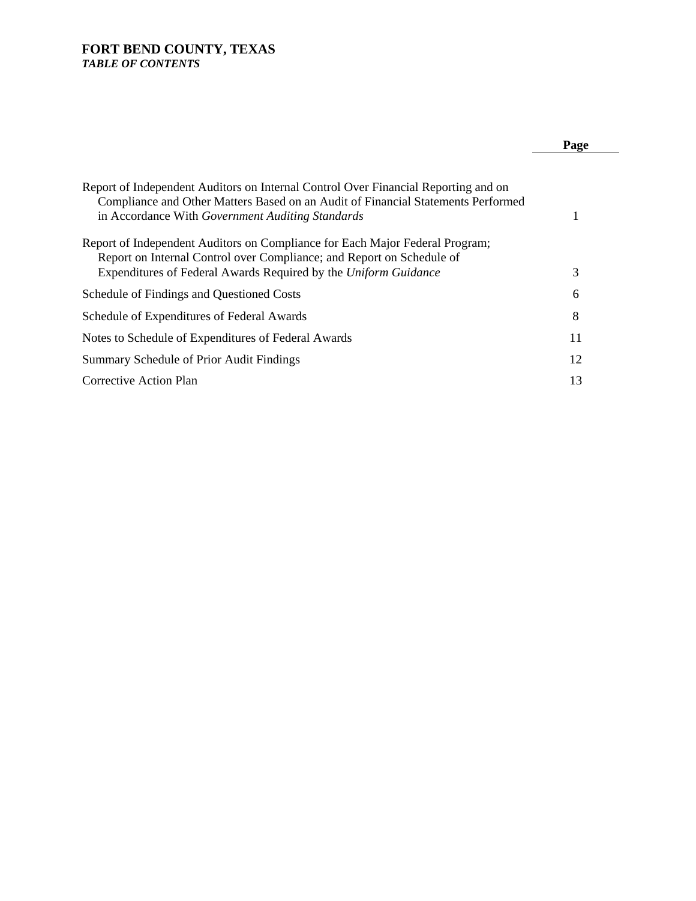### **FORT BEND COUNTY, TEXAS**  *TABLE OF CONTENTS*

### **Page**

| 3  |
|----|
| 6  |
| 8  |
| 11 |
| 12 |
| 13 |
|    |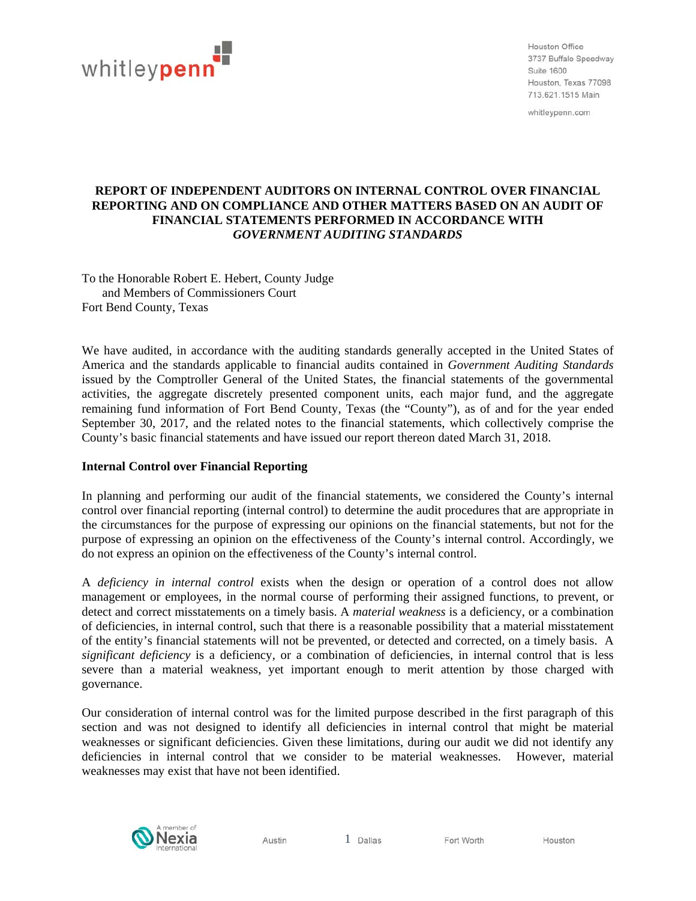

Houston Office 3737 Buffalo Speedway Suite 1600 Houston, Texas 77098 713 621 1515 Main

whitleypenn.com

### **REPORT OF INDEPENDENT AUDITORS ON INTERNAL CONTROL OVER FINANCIAL REPORTING AND ON COMPLIANCE AND OTHER MATTERS BASED ON AN AUDIT OF FINANCIAL STATEMENTS PERFORMED IN ACCORDANCE WITH** *GOVERNMENT AUDITING STANDARDS*

To the Honorable Robert E. Hebert, County Judge and Members of Commissioners Court Fort Bend County, Texas

We have audited, in accordance with the auditing standards generally accepted in the United States of America and the standards applicable to financial audits contained in *Government Auditing Standards* issued by the Comptroller General of the United States, the financial statements of the governmental activities, the aggregate discretely presented component units, each major fund, and the aggregate remaining fund information of Fort Bend County, Texas (the "County"), as of and for the year ended September 30, 2017, and the related notes to the financial statements, which collectively comprise the County's basic financial statements and have issued our report thereon dated March 31, 2018.

### **Internal Control over Financial Reporting**

In planning and performing our audit of the financial statements, we considered the County's internal control over financial reporting (internal control) to determine the audit procedures that are appropriate in the circumstances for the purpose of expressing our opinions on the financial statements, but not for the purpose of expressing an opinion on the effectiveness of the County's internal control. Accordingly, we do not express an opinion on the effectiveness of the County's internal control.

A *deficiency in internal control* exists when the design or operation of a control does not allow management or employees, in the normal course of performing their assigned functions, to prevent, or detect and correct misstatements on a timely basis. A *material weakness* is a deficiency, or a combination of deficiencies, in internal control, such that there is a reasonable possibility that a material misstatement of the entity's financial statements will not be prevented, or detected and corrected, on a timely basis. A *significant deficiency* is a deficiency, or a combination of deficiencies, in internal control that is less severe than a material weakness, yet important enough to merit attention by those charged with governance.

Our consideration of internal control was for the limited purpose described in the first paragraph of this section and was not designed to identify all deficiencies in internal control that might be material weaknesses or significant deficiencies. Given these limitations, during our audit we did not identify any deficiencies in internal control that we consider to be material weaknesses. However, material weaknesses may exist that have not been identified.



Austin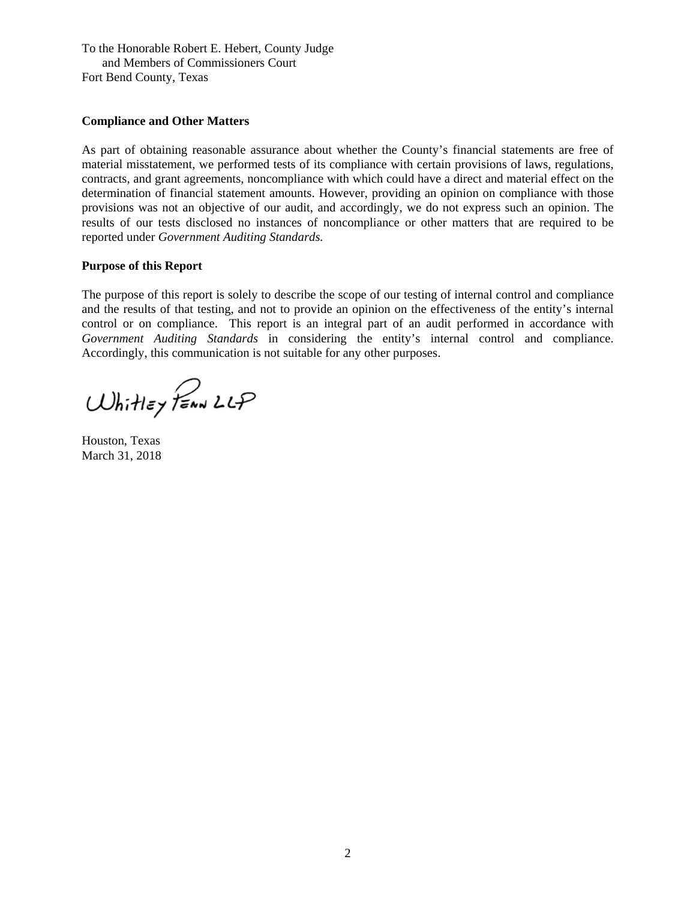To the Honorable Robert E. Hebert, County Judge and Members of Commissioners Court Fort Bend County, Texas

### **Compliance and Other Matters**

As part of obtaining reasonable assurance about whether the County's financial statements are free of material misstatement, we performed tests of its compliance with certain provisions of laws, regulations, contracts, and grant agreements, noncompliance with which could have a direct and material effect on the determination of financial statement amounts. However, providing an opinion on compliance with those provisions was not an objective of our audit, and accordingly, we do not express such an opinion. The results of our tests disclosed no instances of noncompliance or other matters that are required to be reported under *Government Auditing Standards.* 

### **Purpose of this Report**

The purpose of this report is solely to describe the scope of our testing of internal control and compliance and the results of that testing, and not to provide an opinion on the effectiveness of the entity's internal control or on compliance. This report is an integral part of an audit performed in accordance with *Government Auditing Standards* in considering the entity's internal control and compliance. Accordingly, this communication is not suitable for any other purposes.

Whitley PENN LLP

Houston, Texas March 31, 2018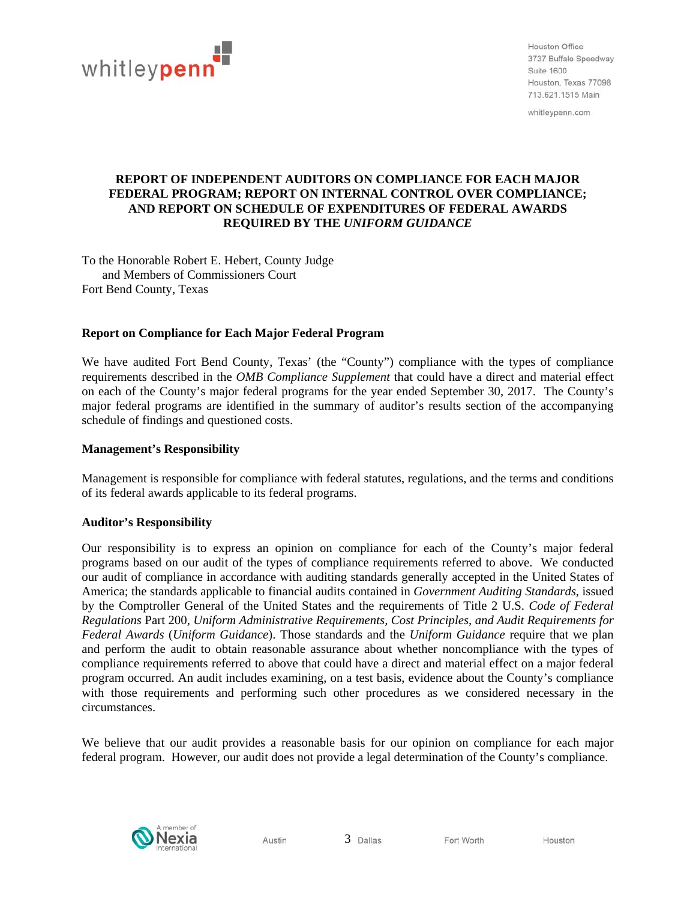

Houston Office 3737 Buffalo Speedway Suite 1600 Houston, Texas 77098 713 621 1515 Main

whitleypenn.com

### **REPORT OF INDEPENDENT AUDITORS ON COMPLIANCE FOR EACH MAJOR FEDERAL PROGRAM; REPORT ON INTERNAL CONTROL OVER COMPLIANCE; AND REPORT ON SCHEDULE OF EXPENDITURES OF FEDERAL AWARDS REQUIRED BY THE** *UNIFORM GUIDANCE*

To the Honorable Robert E. Hebert, County Judge and Members of Commissioners Court Fort Bend County, Texas

### **Report on Compliance for Each Major Federal Program**

We have audited Fort Bend County, Texas' (the "County") compliance with the types of compliance requirements described in the *OMB Compliance Supplement* that could have a direct and material effect on each of the County's major federal programs for the year ended September 30, 2017. The County's major federal programs are identified in the summary of auditor's results section of the accompanying schedule of findings and questioned costs.

### **Management's Responsibility**

Management is responsible for compliance with federal statutes, regulations, and the terms and conditions of its federal awards applicable to its federal programs.

### **Auditor's Responsibility**

Our responsibility is to express an opinion on compliance for each of the County's major federal programs based on our audit of the types of compliance requirements referred to above. We conducted our audit of compliance in accordance with auditing standards generally accepted in the United States of America; the standards applicable to financial audits contained in *Government Auditing Standards*, issued by the Comptroller General of the United States and the requirements of Title 2 U.S. *Code of Federal Regulations* Part 200, *Uniform Administrative Requirements, Cost Principles, and Audit Requirements for Federal Awards* (*Uniform Guidance*). Those standards and the *Uniform Guidance* require that we plan and perform the audit to obtain reasonable assurance about whether noncompliance with the types of compliance requirements referred to above that could have a direct and material effect on a major federal program occurred. An audit includes examining, on a test basis, evidence about the County's compliance with those requirements and performing such other procedures as we considered necessary in the circumstances.

We believe that our audit provides a reasonable basis for our opinion on compliance for each major federal program. However, our audit does not provide a legal determination of the County's compliance.

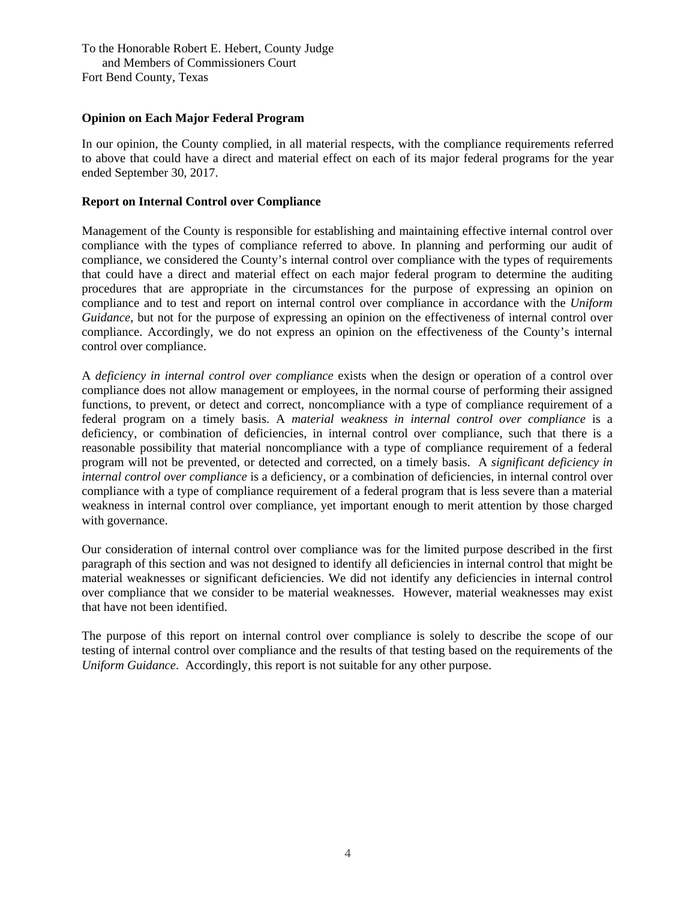To the Honorable Robert E. Hebert, County Judge and Members of Commissioners Court Fort Bend County, Texas

### **Opinion on Each Major Federal Program**

In our opinion, the County complied, in all material respects, with the compliance requirements referred to above that could have a direct and material effect on each of its major federal programs for the year ended September 30, 2017.

### **Report on Internal Control over Compliance**

Management of the County is responsible for establishing and maintaining effective internal control over compliance with the types of compliance referred to above. In planning and performing our audit of compliance, we considered the County's internal control over compliance with the types of requirements that could have a direct and material effect on each major federal program to determine the auditing procedures that are appropriate in the circumstances for the purpose of expressing an opinion on compliance and to test and report on internal control over compliance in accordance with the *Uniform Guidance*, but not for the purpose of expressing an opinion on the effectiveness of internal control over compliance. Accordingly, we do not express an opinion on the effectiveness of the County's internal control over compliance.

A *deficiency in internal control over compliance* exists when the design or operation of a control over compliance does not allow management or employees, in the normal course of performing their assigned functions, to prevent, or detect and correct, noncompliance with a type of compliance requirement of a federal program on a timely basis. A *material weakness in internal control over compliance* is a deficiency, or combination of deficiencies, in internal control over compliance, such that there is a reasonable possibility that material noncompliance with a type of compliance requirement of a federal program will not be prevented, or detected and corrected, on a timely basis. A *significant deficiency in internal control over compliance* is a deficiency, or a combination of deficiencies, in internal control over compliance with a type of compliance requirement of a federal program that is less severe than a material weakness in internal control over compliance, yet important enough to merit attention by those charged with governance.

Our consideration of internal control over compliance was for the limited purpose described in the first paragraph of this section and was not designed to identify all deficiencies in internal control that might be material weaknesses or significant deficiencies. We did not identify any deficiencies in internal control over compliance that we consider to be material weaknesses. However, material weaknesses may exist that have not been identified.

The purpose of this report on internal control over compliance is solely to describe the scope of our testing of internal control over compliance and the results of that testing based on the requirements of the *Uniform Guidance*. Accordingly, this report is not suitable for any other purpose.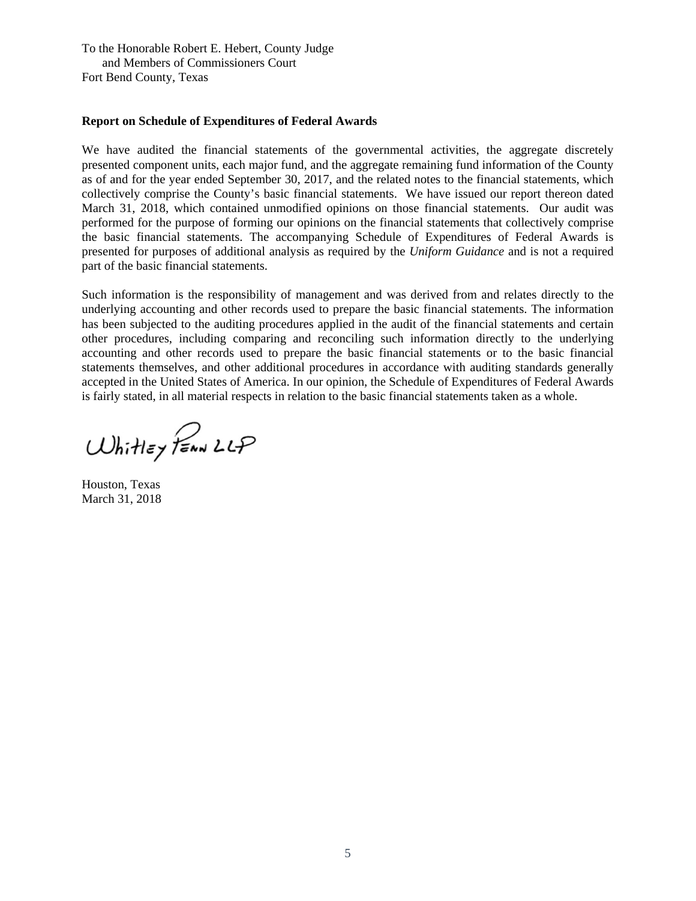To the Honorable Robert E. Hebert, County Judge and Members of Commissioners Court Fort Bend County, Texas

### **Report on Schedule of Expenditures of Federal Awards**

We have audited the financial statements of the governmental activities, the aggregate discretely presented component units, each major fund, and the aggregate remaining fund information of the County as of and for the year ended September 30, 2017, and the related notes to the financial statements, which collectively comprise the County's basic financial statements. We have issued our report thereon dated March 31, 2018, which contained unmodified opinions on those financial statements. Our audit was performed for the purpose of forming our opinions on the financial statements that collectively comprise the basic financial statements. The accompanying Schedule of Expenditures of Federal Awards is presented for purposes of additional analysis as required by the *Uniform Guidance* and is not a required part of the basic financial statements.

Such information is the responsibility of management and was derived from and relates directly to the underlying accounting and other records used to prepare the basic financial statements. The information has been subjected to the auditing procedures applied in the audit of the financial statements and certain other procedures, including comparing and reconciling such information directly to the underlying accounting and other records used to prepare the basic financial statements or to the basic financial statements themselves, and other additional procedures in accordance with auditing standards generally accepted in the United States of America. In our opinion, the Schedule of Expenditures of Federal Awards is fairly stated, in all material respects in relation to the basic financial statements taken as a whole.

Whitley PENN LLP

Houston, Texas March 31, 2018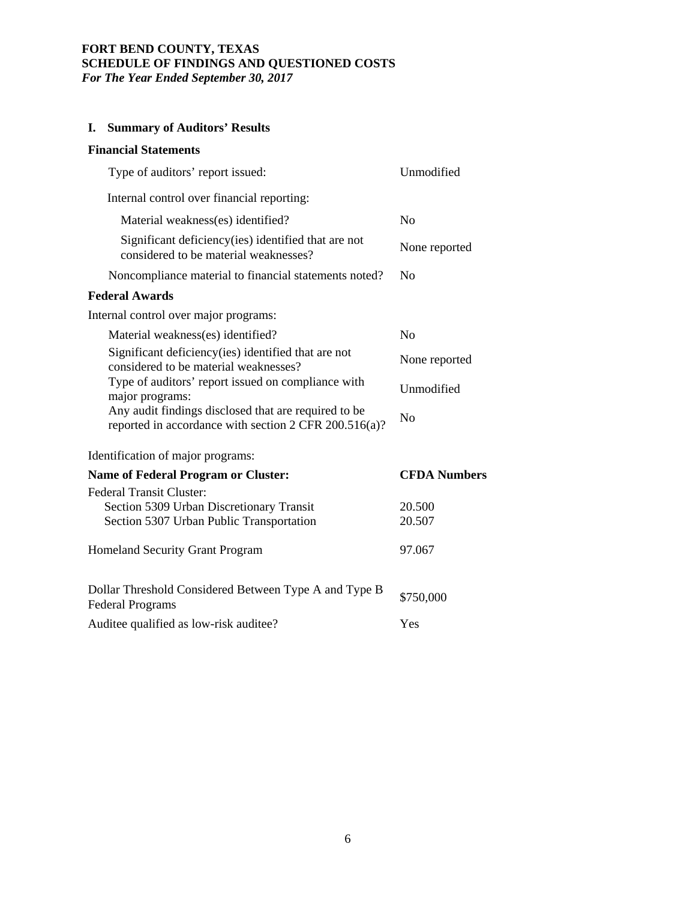### **FORT BEND COUNTY, TEXAS SCHEDULE OF FINDINGS AND QUESTIONED COSTS**  *For The Year Ended September 30, 2017*

## **I. Summary of Auditors' Results**

# **Financial Statements**

| Type of auditors' report issued:                                                                              | Unmodified          |
|---------------------------------------------------------------------------------------------------------------|---------------------|
| Internal control over financial reporting:                                                                    |                     |
| Material weakness(es) identified?                                                                             | N <sub>o</sub>      |
| Significant deficiency (ies) identified that are not<br>considered to be material weaknesses?                 | None reported       |
| Noncompliance material to financial statements noted?                                                         | N <sub>0</sub>      |
| <b>Federal Awards</b>                                                                                         |                     |
| Internal control over major programs:                                                                         |                     |
| Material weakness(es) identified?                                                                             | N <sub>o</sub>      |
| Significant deficiency (ies) identified that are not<br>considered to be material weaknesses?                 | None reported       |
| Type of auditors' report issued on compliance with<br>major programs:                                         | Unmodified          |
| Any audit findings disclosed that are required to be<br>reported in accordance with section 2 CFR 200.516(a)? | No                  |
| Identification of major programs:                                                                             |                     |
| <b>Name of Federal Program or Cluster:</b>                                                                    | <b>CFDA Numbers</b> |
| <b>Federal Transit Cluster:</b>                                                                               |                     |
| Section 5309 Urban Discretionary Transit                                                                      | 20.500              |
| Section 5307 Urban Public Transportation                                                                      | 20.507              |
| Homeland Security Grant Program                                                                               | 97.067              |
| Dollar Threshold Considered Between Type A and Type B<br><b>Federal Programs</b>                              | \$750,000           |
| Auditee qualified as low-risk auditee?                                                                        | Yes                 |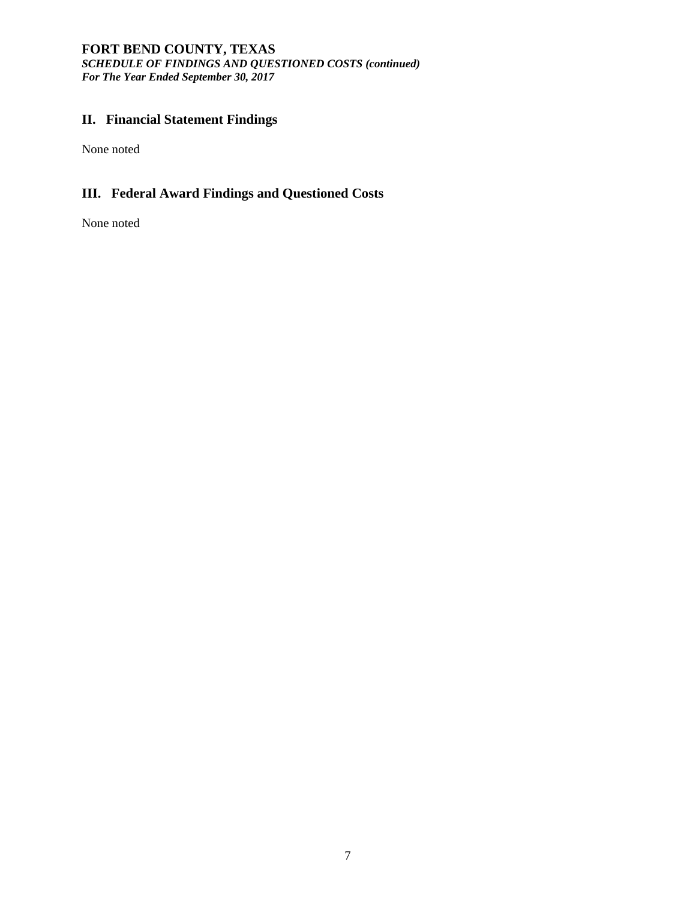### **FORT BEND COUNTY, TEXAS**  *SCHEDULE OF FINDINGS AND QUESTIONED COSTS (continued) For The Year Ended September 30, 2017*

## **II. Financial Statement Findings**

None noted

## **III. Federal Award Findings and Questioned Costs**

None noted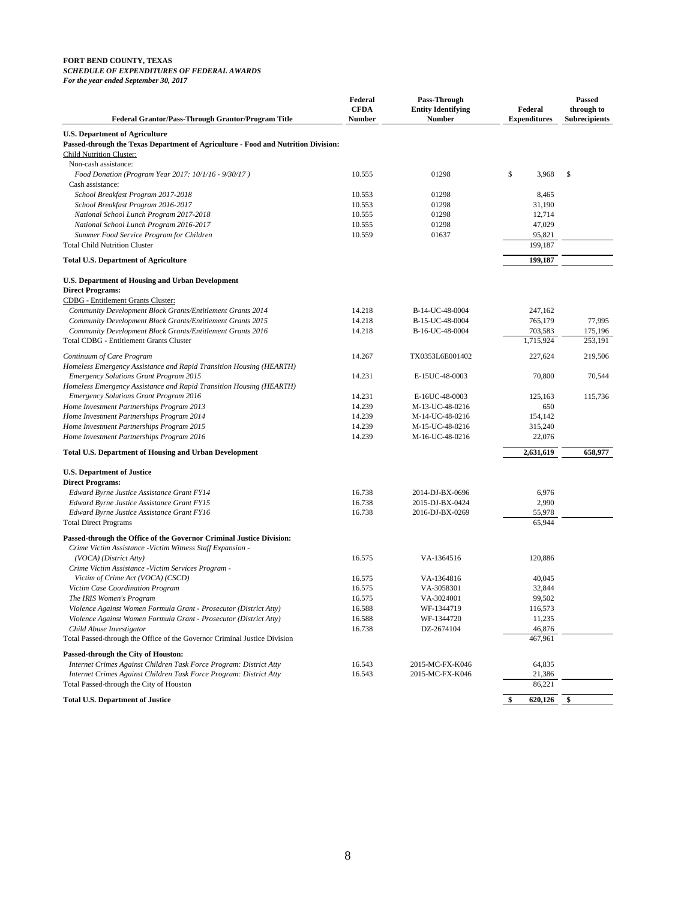### **FORT BEND COUNTY, TEXAS**

### *SCHEDULE OF EXPENDITURES OF FEDERAL AWARDS*

*For the year ended September 30, 2017*

| <b>Federal Grantor/Pass-Through Grantor/Program Title</b>                                                           | Federal<br><b>CFDA</b><br><b>Number</b> | Pass-Through<br><b>Entity Identifying</b><br><b>Number</b> | Federal<br><b>Expenditures</b> | Passed<br>through to<br><b>Subrecipients</b> |
|---------------------------------------------------------------------------------------------------------------------|-----------------------------------------|------------------------------------------------------------|--------------------------------|----------------------------------------------|
|                                                                                                                     |                                         |                                                            |                                |                                              |
| U.S. Department of Agriculture<br>Passed-through the Texas Department of Agriculture - Food and Nutrition Division: |                                         |                                                            |                                |                                              |
| <b>Child Nutrition Cluster:</b>                                                                                     |                                         |                                                            |                                |                                              |
| Non-cash assistance:                                                                                                |                                         |                                                            |                                |                                              |
| Food Donation (Program Year 2017: 10/1/16 - 9/30/17)<br>Cash assistance:                                            | 10.555                                  | 01298                                                      | \$<br>3,968                    | \$                                           |
| School Breakfast Program 2017-2018                                                                                  | 10.553                                  | 01298                                                      | 8,465                          |                                              |
| School Breakfast Program 2016-2017                                                                                  | 10.553                                  | 01298                                                      | 31,190                         |                                              |
| National School Lunch Program 2017-2018                                                                             | 10.555                                  | 01298                                                      | 12,714                         |                                              |
| National School Lunch Program 2016-2017                                                                             | 10.555                                  | 01298                                                      | 47,029                         |                                              |
| Summer Food Service Program for Children                                                                            | 10.559                                  | 01637                                                      | 95,821                         |                                              |
| <b>Total Child Nutrition Cluster</b>                                                                                |                                         |                                                            | 199.187                        |                                              |
| <b>Total U.S. Department of Agriculture</b>                                                                         |                                         |                                                            | 199,187                        |                                              |
| U.S. Department of Housing and Urban Development                                                                    |                                         |                                                            |                                |                                              |
| <b>Direct Programs:</b>                                                                                             |                                         |                                                            |                                |                                              |
| <b>CDBG</b> - Entitlement Grants Cluster:                                                                           |                                         |                                                            |                                |                                              |
| Community Development Block Grants/Entitlement Grants 2014                                                          | 14.218                                  | B-14-UC-48-0004                                            | 247,162                        |                                              |
| Community Development Block Grants/Entitlement Grants 2015                                                          | 14.218                                  | B-15-UC-48-0004                                            | 765,179                        | 77,995                                       |
| Community Development Block Grants/Entitlement Grants 2016                                                          | 14.218                                  | B-16-UC-48-0004                                            | 703,583                        | 175,196                                      |
| Total CDBG - Entitlement Grants Cluster                                                                             |                                         |                                                            | 1,715,924                      | 253.191                                      |
| Continuum of Care Program                                                                                           | 14.267                                  | TX0353L6E001402                                            | 227,624                        | 219,506                                      |
| Homeless Emergency Assistance and Rapid Transition Housing (HEARTH)                                                 |                                         |                                                            |                                |                                              |
| <b>Emergency Solutions Grant Program 2015</b>                                                                       | 14.231                                  | E-15UC-48-0003                                             | 70,800                         | 70,544                                       |
| Homeless Emergency Assistance and Rapid Transition Housing (HEARTH)                                                 |                                         |                                                            |                                |                                              |
| <b>Emergency Solutions Grant Program 2016</b>                                                                       | 14.231<br>14.239                        | E-16UC-48-0003                                             | 125,163<br>650                 | 115,736                                      |
| Home Investment Partnerships Program 2013<br>Home Investment Partnerships Program 2014                              | 14.239                                  | M-13-UC-48-0216<br>M-14-UC-48-0216                         | 154,142                        |                                              |
| Home Investment Partnerships Program 2015                                                                           | 14.239                                  | M-15-UC-48-0216                                            | 315,240                        |                                              |
| Home Investment Partnerships Program 2016                                                                           | 14.239                                  | M-16-UC-48-0216                                            | 22,076                         |                                              |
| <b>Total U.S. Department of Housing and Urban Development</b>                                                       |                                         |                                                            | 2,631,619                      | 658,977                                      |
| <b>U.S. Department of Justice</b>                                                                                   |                                         |                                                            |                                |                                              |
| <b>Direct Programs:</b>                                                                                             |                                         |                                                            |                                |                                              |
| Edward Byrne Justice Assistance Grant FY14                                                                          | 16.738                                  | 2014-DJ-BX-0696                                            | 6,976                          |                                              |
| Edward Byrne Justice Assistance Grant FY15                                                                          | 16.738                                  | 2015-DJ-BX-0424                                            | 2,990                          |                                              |
| Edward Byrne Justice Assistance Grant FY16                                                                          | 16.738                                  | 2016-DJ-BX-0269                                            | 55,978                         |                                              |
| <b>Total Direct Programs</b>                                                                                        |                                         |                                                            | 65,944                         |                                              |
| Passed-through the Office of the Governor Criminal Justice Division:                                                |                                         |                                                            |                                |                                              |
| Crime Victim Assistance -Victim Witness Staff Expansion -                                                           |                                         |                                                            |                                |                                              |
| $(VOCA)$ (District Atty)                                                                                            | 16.575                                  | VA-1364516                                                 | 120,886                        |                                              |
| Crime Victim Assistance -Victim Services Program -                                                                  |                                         |                                                            |                                |                                              |
| Victim of Crime Act (VOCA) (CSCD)                                                                                   | 16.575                                  | VA-1364816                                                 | 40,045                         |                                              |
| Victim Case Coordination Program                                                                                    | 16.575                                  | VA-3058301                                                 | 32,844                         |                                              |
| The IRIS Women's Program                                                                                            | 16.575                                  | VA-3024001                                                 | 99,502                         |                                              |
| Violence Against Women Formula Grant - Prosecutor (District Atty)                                                   | 16.588                                  | WF-1344719                                                 | 116,573                        |                                              |
| Violence Against Women Formula Grant - Prosecutor (District Atty)                                                   | 16.588                                  | WF-1344720                                                 | 11,235                         |                                              |
| Child Abuse Investigator<br>Total Passed-through the Office of the Governor Criminal Justice Division               | 16.738                                  | DZ-2674104                                                 | 46,876<br>467,961              |                                              |
|                                                                                                                     |                                         |                                                            |                                |                                              |
| Passed-through the City of Houston:<br>Internet Crimes Against Children Task Force Program: District Atty           | 16.543                                  | 2015-MC-FX-K046                                            | 64,835                         |                                              |
| Internet Crimes Against Children Task Force Program: District Atty                                                  | 16.543                                  | 2015-MC-FX-K046                                            | 21,386                         |                                              |
| Total Passed-through the City of Houston                                                                            |                                         |                                                            | 86,221                         |                                              |
| <b>Total U.S. Department of Justice</b>                                                                             |                                         |                                                            |                                |                                              |
|                                                                                                                     |                                         |                                                            | \$<br>620,126                  | \$                                           |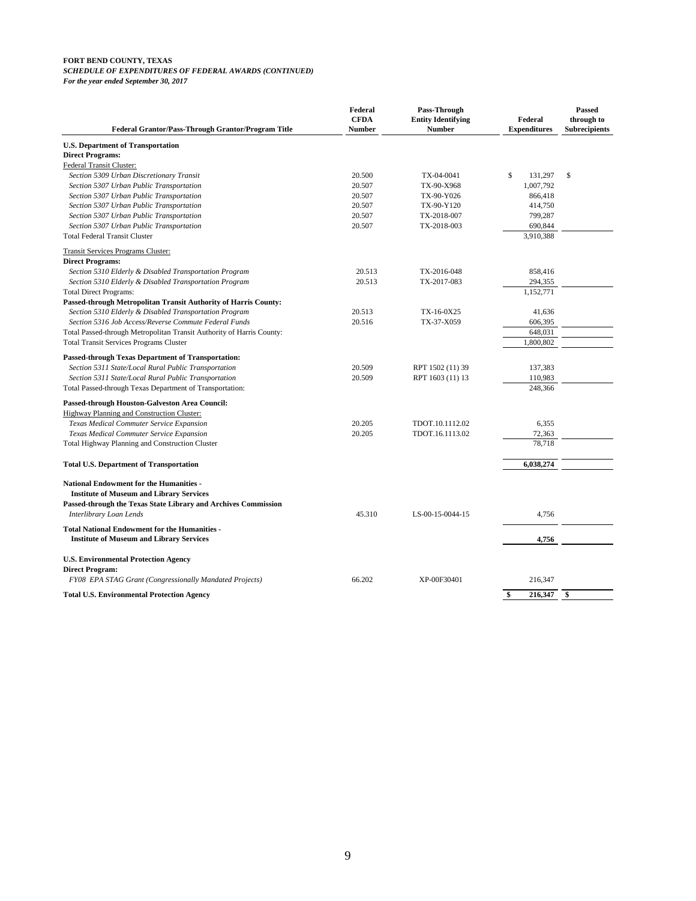### **FORT BEND COUNTY, TEXAS** *SCHEDULE OF EXPENDITURES OF FEDERAL AWARDS (CONTINUED)*

*For the year ended September 30, 2017*

| <b>Federal Grantor/Pass-Through Grantor/Program Title</b>                                               | Federal<br><b>CFDA</b><br><b>Number</b> | Pass-Through<br><b>Entity Identifying</b><br><b>Number</b> | Federal<br><b>Expenditures</b> | <b>Passed</b><br>through to<br><b>Subrecipients</b> |
|---------------------------------------------------------------------------------------------------------|-----------------------------------------|------------------------------------------------------------|--------------------------------|-----------------------------------------------------|
| <b>U.S. Department of Transportation</b>                                                                |                                         |                                                            |                                |                                                     |
| <b>Direct Programs:</b>                                                                                 |                                         |                                                            |                                |                                                     |
| Federal Transit Cluster:                                                                                |                                         |                                                            |                                |                                                     |
| Section 5309 Urban Discretionary Transit                                                                | 20.500                                  | TX-04-0041                                                 | \$<br>131,297                  | \$                                                  |
| Section 5307 Urban Public Transportation                                                                | 20.507                                  | TX-90-X968                                                 | 1,007,792                      |                                                     |
| Section 5307 Urban Public Transportation                                                                | 20.507                                  | TX-90-Y026                                                 | 866,418                        |                                                     |
| Section 5307 Urban Public Transportation                                                                | 20.507                                  | TX-90-Y120                                                 | 414,750                        |                                                     |
| Section 5307 Urban Public Transportation                                                                | 20.507                                  | TX-2018-007                                                | 799,287                        |                                                     |
| Section 5307 Urban Public Transportation                                                                | 20.507                                  | TX-2018-003                                                | 690.844                        |                                                     |
| <b>Total Federal Transit Cluster</b>                                                                    |                                         |                                                            | 3,910,388                      |                                                     |
| <b>Transit Services Programs Cluster:</b>                                                               |                                         |                                                            |                                |                                                     |
| <b>Direct Programs:</b>                                                                                 |                                         |                                                            |                                |                                                     |
| Section 5310 Elderly & Disabled Transportation Program                                                  | 20.513                                  | TX-2016-048                                                | 858,416                        |                                                     |
| Section 5310 Elderly & Disabled Transportation Program                                                  | 20.513                                  | TX-2017-083                                                | 294,355                        |                                                     |
| <b>Total Direct Programs:</b>                                                                           |                                         |                                                            | 1,152,771                      |                                                     |
| Passed-through Metropolitan Transit Authority of Harris County:                                         |                                         |                                                            |                                |                                                     |
| Section 5310 Elderly & Disabled Transportation Program                                                  | 20.513                                  | TX-16-0X25                                                 | 41,636                         |                                                     |
| Section 5316 Job Access/Reverse Commute Federal Funds                                                   | 20.516                                  | TX-37-X059                                                 | 606,395                        |                                                     |
| Total Passed-through Metropolitan Transit Authority of Harris County:                                   |                                         |                                                            | 648,031                        |                                                     |
| <b>Total Transit Services Programs Cluster</b>                                                          |                                         |                                                            | 1,800,802                      |                                                     |
| <b>Passed-through Texas Department of Transportation:</b>                                               |                                         |                                                            |                                |                                                     |
| Section 5311 State/Local Rural Public Transportation                                                    | 20.509                                  | RPT 1502 (11) 39                                           | 137,383                        |                                                     |
| Section 5311 State/Local Rural Public Transportation                                                    | 20.509                                  | RPT 1603 (11) 13                                           | 110,983                        |                                                     |
| Total Passed-through Texas Department of Transportation:                                                |                                         |                                                            | 248.366                        |                                                     |
| Passed-through Houston-Galveston Area Council:                                                          |                                         |                                                            |                                |                                                     |
| Highway Planning and Construction Cluster:                                                              |                                         |                                                            |                                |                                                     |
| Texas Medical Commuter Service Expansion                                                                | 20.205                                  | TDOT.10.1112.02                                            | 6,355                          |                                                     |
| Texas Medical Commuter Service Expansion                                                                | 20.205                                  | TDOT.16.1113.02                                            | 72,363                         |                                                     |
| Total Highway Planning and Construction Cluster                                                         |                                         |                                                            | 78.718                         |                                                     |
| <b>Total U.S. Department of Transportation</b>                                                          |                                         |                                                            | 6,038,274                      |                                                     |
| <b>National Endowment for the Humanities -</b><br><b>Institute of Museum and Library Services</b>       |                                         |                                                            |                                |                                                     |
| Passed-through the Texas State Library and Archives Commission<br>Interlibrary Loan Lends               | 45.310                                  | LS-00-15-0044-15                                           | 4,756                          |                                                     |
| <b>Total National Endowment for the Humanities -</b><br><b>Institute of Museum and Library Services</b> |                                         |                                                            | 4,756                          |                                                     |
| <b>U.S. Environmental Protection Agency</b><br><b>Direct Program:</b>                                   |                                         |                                                            |                                |                                                     |
| FY08 EPA STAG Grant (Congressionally Mandated Projects)                                                 | 66.202                                  | XP-00F30401                                                | 216,347                        |                                                     |
| <b>Total U.S. Environmental Protection Agency</b>                                                       |                                         |                                                            | 216,347<br>\$                  | \$                                                  |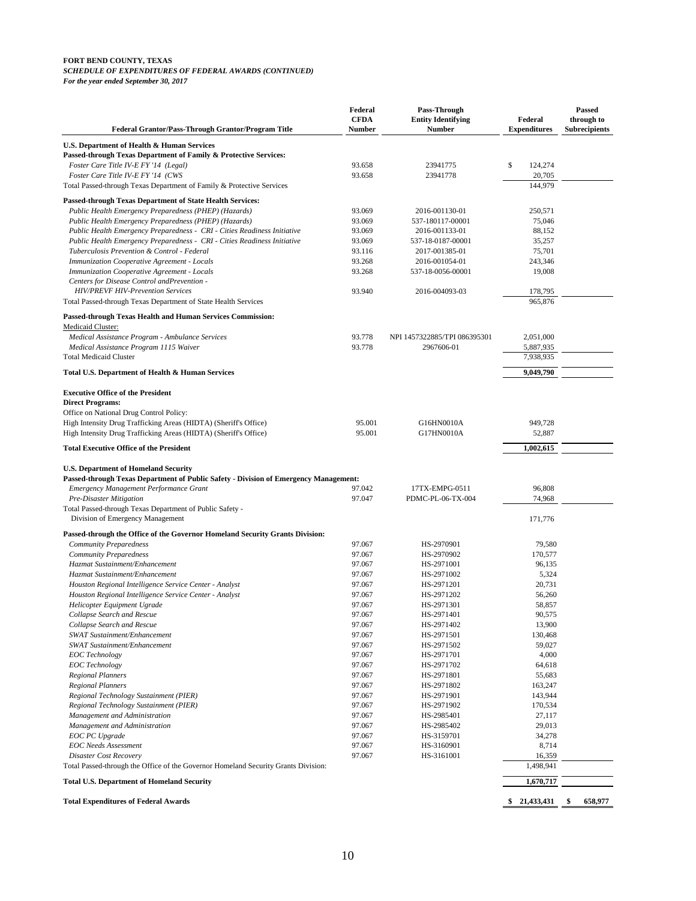#### **FORT BEND COUNTY, TEXAS** *SCHEDULE OF EXPENDITURES OF FEDERAL AWARDS (CONTINUED) For the year ended September 30, 2017*

**Federal Grantor/Pass-Through Grantor/Program Title CFDA Number Entity Identifying Number Federal Expenditures through to Subrecipients U.S. Department of Health & Human Services Passed-through Texas Department of Family & Protective Services:** *Foster Care Title IV-E FY '14 (Legal)* 93.658 23941775 \$ 124,274 *Foster Care Title IV-E FY '14 (CWS* 93.658 23941778 20,705 Total Passed-through Texas Department of Family & Protective Services 144,979 **Passed-through Texas Department of State Health Services:** *Public Health Emergency Preparedness (PHEP) (Hazards)* 93.069 2016-001130-01 250,571 *Public Health Emergency Preparedness (PHEP) (Hazards)* 93.069 537-180117-00001 75,046 *Public Health Emergency Preparedness - CRI - Cities Readiness Initiative* 93.069 2016-001133-01 88,152 *Public Health Emergency Preparedness - CRI - Cities Readiness Initiative* 93.069 537-18-0187-00001 35,257 *Tuberculosis Prevention & Control - Federal* 93.116 2017-001385-01 75,701 75,701<br>193.268 2016-001054-01 243,346 2016-001054-01 243,346 **Immunization Cooperative Agreement - Locals** *Immunization Cooperative Agreement - Locals* 93.268 537-18-0056-00001 19,008 *Centers for Disease Control andPrevention - HIV/PREVF HIV-Prevention Services* 93.940 2016-004093-03 178,795 Total Passed-through Texas Department of State Health Services 965,876 **Passed-through Texas Health and Human Services Commission:** Medicaid Cluster: *Medical Assistance Program - Ambulance Services* 93.778 NPI 1457322885/TPI 086395301 2,051,000 *Medical Assistance Program 1115 Waiver* 93.778 2967606-01 5,887,935 Total Medicaid Cluster 7,938,935 **Total U.S. Department of Health & Human Services 9,049,790 Executive Office of the President Direct Programs:** Office on National Drug Control Policy: High Intensity Drug Trafficking Areas (HIDTA) (Sheriff's Office)  $95.001$  G16HN0010A 949,728<br>High Intensity Drug Trafficking Areas (HIDTA) (Sheriff's Office) 95.001 G17HN0010A 52,887 High Intensity Drug Trafficking Areas (HIDTA) (Sheriff's Office) 95.001 G17HN0010A 52,887 **Total Executive Office of the President 1,002,615 U.S. Department of Homeland Security Passed-through Texas Department of Public Safety - Division of Emergency Management:** *Emergency Management Performance Grant* 97.042 17TX-EMPG-0511 96,808 *Pre-Disaster Mitigation* 97.047 PDMC-PL-06-TX-004 74,968 Total Passed-through Texas Department of Public Safety - Division of Emergency Management 171,776 **Passed-through the Office of the Governor Homeland Security Grants Division:** *Community Preparedness* 97.067 HS-2970901 79,580 *Community Preparedness* 97.067 HS-2970902 170,577 *Hazmat Sustainment/Enhancement* 97.067 HS-2971001 96,135 *Hazmat Sustainment/Enhancement Houston Regional Intelligence Service Center - Analyst* 97.067 HS-2971201 20,731 *Houston Regional Intelligence Service Center - Analyst* 97.067 HS-2971202 56,260 *Helicopter Equipment Ugrade* 97.067 HS-2971301 58,857 *Collapse Search and Rescue* 90,575 **HS-2971401** 90,575 **HS-2971401** 90,575 **HS-2971401** 90,575 **Collapse Search and Rescue** 13,900 *Collapse Search and Rescue* 97.067 HS-2971402 13,900 *SWAT Sustainment/Enhancement* 97.067 HS-2971501 130,468 *SWAT Sustainment/Enhancement* 97.067 HS-2971502 59,027 *EOC Technology* 97.067 HS-2971701 4,000 *EOC Technology* 97.067 HS-2971702 64,618 *Regional Planners* 97.067 HS-2971801 55,683 *Regional Planners* 97.067 HS-2971802 163,247 *Regional Technology Sustainment (PIER)* 97.067 HS-2971901 143,944 *Regional Technology Sustainment (PIER)* 97.067 HS-2971902 170,534 *Management and Administration* 97.067 HS-2985401 27,117 *Management and Administration* 97.067 HS-2985402 29,013 *EOC PC Upgrade* 97.067 HS-3159701 34,278 *EOC Needs Assessment* 97.067 HS-3160901 8,714 *Disaster Cost Recovery* 97.067 HS-3161001 16,359 Total Passed-through the Office of the Governor Homeland Security Grants Division: 1,498,941 **Total U.S. Department of Homeland Security 1,670,717 Total Expenditures of Federal Awards \$ 658,977 21,433,431 \$** 

**Federal**

**Pass-Through**

**Passed**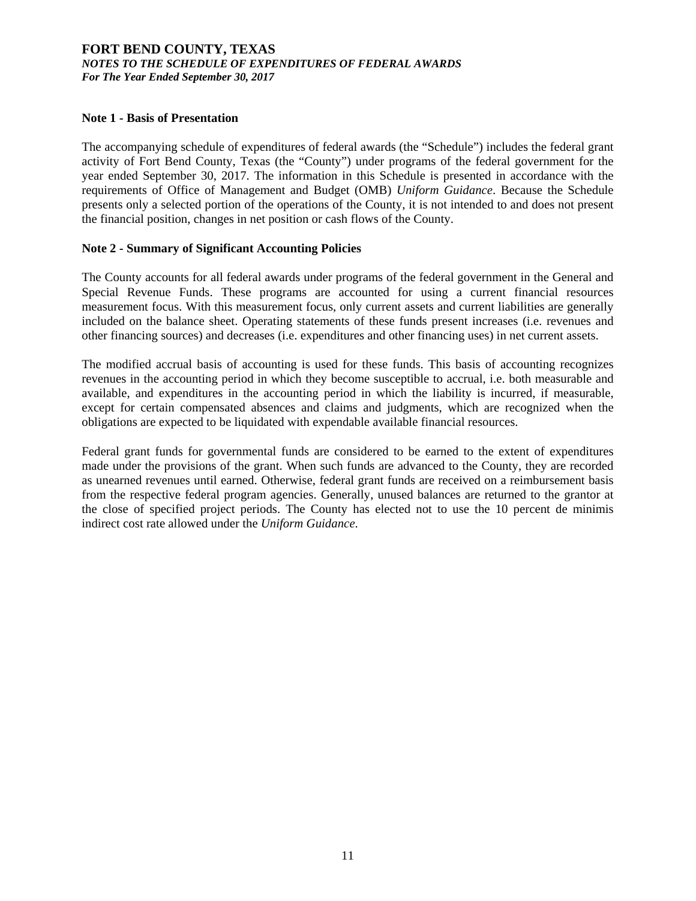### **FORT BEND COUNTY, TEXAS**  *NOTES TO THE SCHEDULE OF EXPENDITURES OF FEDERAL AWARDS For The Year Ended September 30, 2017*

### **Note 1 - Basis of Presentation**

The accompanying schedule of expenditures of federal awards (the "Schedule") includes the federal grant activity of Fort Bend County, Texas (the "County") under programs of the federal government for the year ended September 30, 2017. The information in this Schedule is presented in accordance with the requirements of Office of Management and Budget (OMB) *Uniform Guidance*. Because the Schedule presents only a selected portion of the operations of the County, it is not intended to and does not present the financial position, changes in net position or cash flows of the County.

### **Note 2 - Summary of Significant Accounting Policies**

The County accounts for all federal awards under programs of the federal government in the General and Special Revenue Funds. These programs are accounted for using a current financial resources measurement focus. With this measurement focus, only current assets and current liabilities are generally included on the balance sheet. Operating statements of these funds present increases (i.e. revenues and other financing sources) and decreases (i.e. expenditures and other financing uses) in net current assets.

The modified accrual basis of accounting is used for these funds. This basis of accounting recognizes revenues in the accounting period in which they become susceptible to accrual, i.e. both measurable and available, and expenditures in the accounting period in which the liability is incurred, if measurable, except for certain compensated absences and claims and judgments, which are recognized when the obligations are expected to be liquidated with expendable available financial resources.

Federal grant funds for governmental funds are considered to be earned to the extent of expenditures made under the provisions of the grant. When such funds are advanced to the County, they are recorded as unearned revenues until earned. Otherwise, federal grant funds are received on a reimbursement basis from the respective federal program agencies. Generally, unused balances are returned to the grantor at the close of specified project periods. The County has elected not to use the 10 percent de minimis indirect cost rate allowed under the *Uniform Guidance*.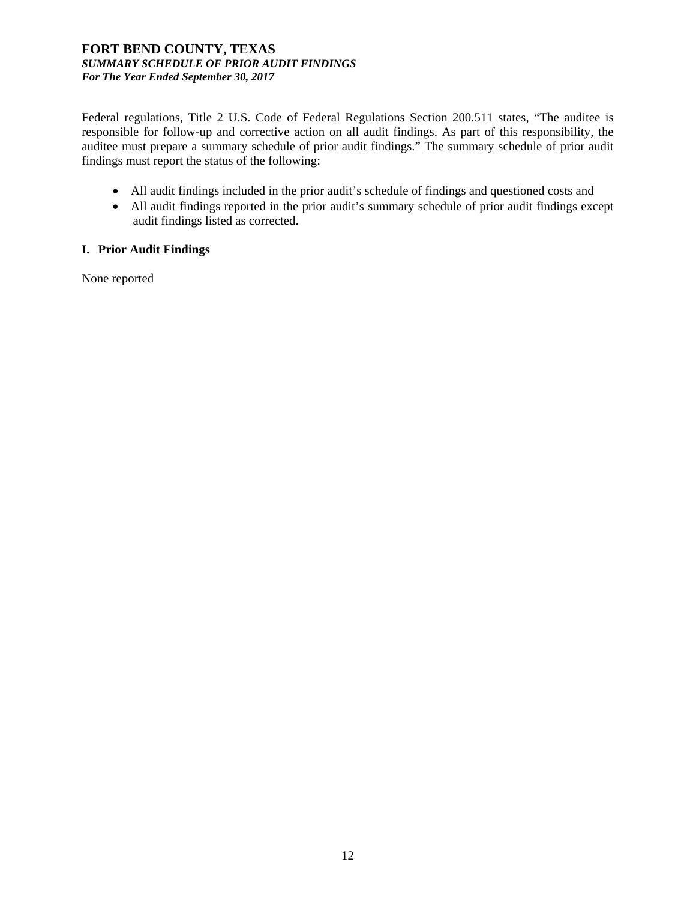### **FORT BEND COUNTY, TEXAS**  *SUMMARY SCHEDULE OF PRIOR AUDIT FINDINGS For The Year Ended September 30, 2017*

Federal regulations, Title 2 U.S. Code of Federal Regulations Section 200.511 states, "The auditee is responsible for follow-up and corrective action on all audit findings. As part of this responsibility, the auditee must prepare a summary schedule of prior audit findings." The summary schedule of prior audit findings must report the status of the following:

- All audit findings included in the prior audit's schedule of findings and questioned costs and
- All audit findings reported in the prior audit's summary schedule of prior audit findings except audit findings listed as corrected.

### **I. Prior Audit Findings**

None reported